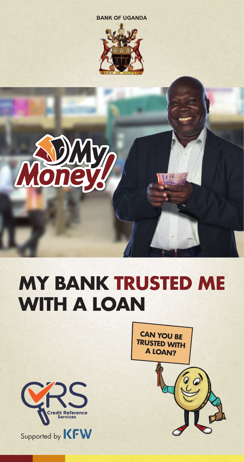





# **MY BANK TRUSTED ME WITH A LOAN**